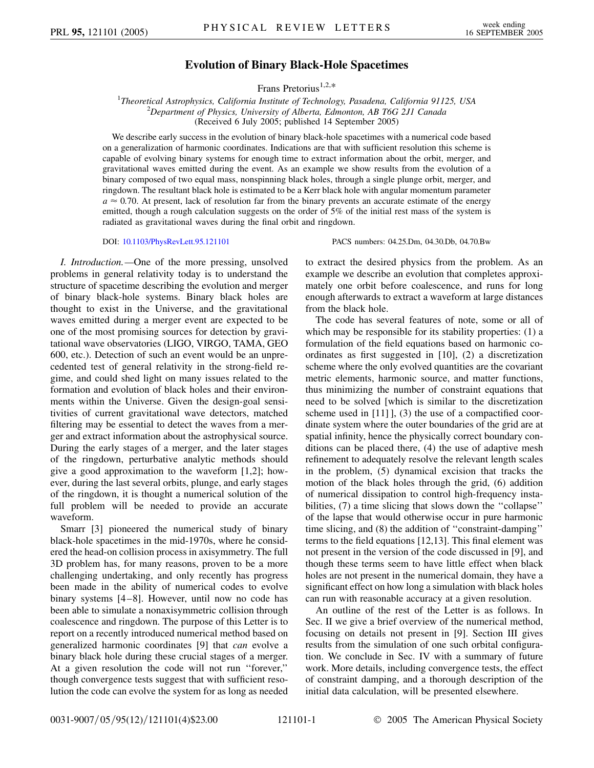## **Evolution of Binary Black-Hole Spacetimes**

Frans Pretorius<sup>1,2,\*</sup>

<sup>1</sup>Theoretical Astrophysics, California Institute of Technology, Pasadena, California 91125, USA<br><sup>2</sup>Department of Physics, University of Alberta, Edmonton, AB, T6G, 211 Canada *Department of Physics, University of Alberta, Edmonton, AB T6G 2J1 Canada* (Received 6 July 2005; published 14 September 2005)

We describe early success in the evolution of binary black-hole spacetimes with a numerical code based on a generalization of harmonic coordinates. Indications are that with sufficient resolution this scheme is capable of evolving binary systems for enough time to extract information about the orbit, merger, and gravitational waves emitted during the event. As an example we show results from the evolution of a binary composed of two equal mass, nonspinning black holes, through a single plunge orbit, merger, and ringdown. The resultant black hole is estimated to be a Kerr black hole with angular momentum parameter  $a \approx 0.70$ . At present, lack of resolution far from the binary prevents an accurate estimate of the energy emitted, though a rough calculation suggests on the order of 5% of the initial rest mass of the system is radiated as gravitational waves during the final orbit and ringdown.

DOI: [10.1103/PhysRevLett.95.121101](http://dx.doi.org/10.1103/PhysRevLett.95.121101) PACS numbers: 04.25.Dm, 04.30.Db, 04.70.Bw

*I. Introduction.—*One of the more pressing, unsolved problems in general relativity today is to understand the structure of spacetime describing the evolution and merger of binary black-hole systems. Binary black holes are thought to exist in the Universe, and the gravitational waves emitted during a merger event are expected to be one of the most promising sources for detection by gravitational wave observatories (LIGO, VIRGO, TAMA, GEO 600, etc.). Detection of such an event would be an unprecedented test of general relativity in the strong-field regime, and could shed light on many issues related to the formation and evolution of black holes and their environments within the Universe. Given the design-goal sensitivities of current gravitational wave detectors, matched filtering may be essential to detect the waves from a merger and extract information about the astrophysical source. During the early stages of a merger, and the later stages of the ringdown, perturbative analytic methods should give a good approximation to the waveform [1,2]; however, during the last several orbits, plunge, and early stages of the ringdown, it is thought a numerical solution of the full problem will be needed to provide an accurate waveform.

Smarr [3] pioneered the numerical study of binary black-hole spacetimes in the mid-1970s, where he considered the head-on collision process in axisymmetry. The full 3D problem has, for many reasons, proven to be a more challenging undertaking, and only recently has progress been made in the ability of numerical codes to evolve binary systems [4 –8]. However, until now no code has been able to simulate a nonaxisymmetric collision through coalescence and ringdown. The purpose of this Letter is to report on a recently introduced numerical method based on generalized harmonic coordinates [9] that *can* evolve a binary black hole during these crucial stages of a merger. At a given resolution the code will not run ''forever,'' though convergence tests suggest that with sufficient resolution the code can evolve the system for as long as needed to extract the desired physics from the problem. As an example we describe an evolution that completes approximately one orbit before coalescence, and runs for long enough afterwards to extract a waveform at large distances from the black hole.

The code has several features of note, some or all of which may be responsible for its stability properties: (1) a formulation of the field equations based on harmonic coordinates as first suggested in [10], (2) a discretization scheme where the only evolved quantities are the covariant metric elements, harmonic source, and matter functions, thus minimizing the number of constraint equations that need to be solved [which is similar to the discretization scheme used in [11] ], (3) the use of a compactified coordinate system where the outer boundaries of the grid are at spatial infinity, hence the physically correct boundary conditions can be placed there, (4) the use of adaptive mesh refinement to adequately resolve the relevant length scales in the problem, (5) dynamical excision that tracks the motion of the black holes through the grid, (6) addition of numerical dissipation to control high-frequency instabilities, (7) a time slicing that slows down the "collapse" of the lapse that would otherwise occur in pure harmonic time slicing, and (8) the addition of ''constraint-damping'' terms to the field equations [12,13]. This final element was not present in the version of the code discussed in [9], and though these terms seem to have little effect when black holes are not present in the numerical domain, they have a significant effect on how long a simulation with black holes can run with reasonable accuracy at a given resolution.

An outline of the rest of the Letter is as follows. In Sec. II we give a brief overview of the numerical method, focusing on details not present in [9]. Section III gives results from the simulation of one such orbital configuration. We conclude in Sec. IV with a summary of future work. More details, including convergence tests, the effect of constraint damping, and a thorough description of the initial data calculation, will be presented elsewhere.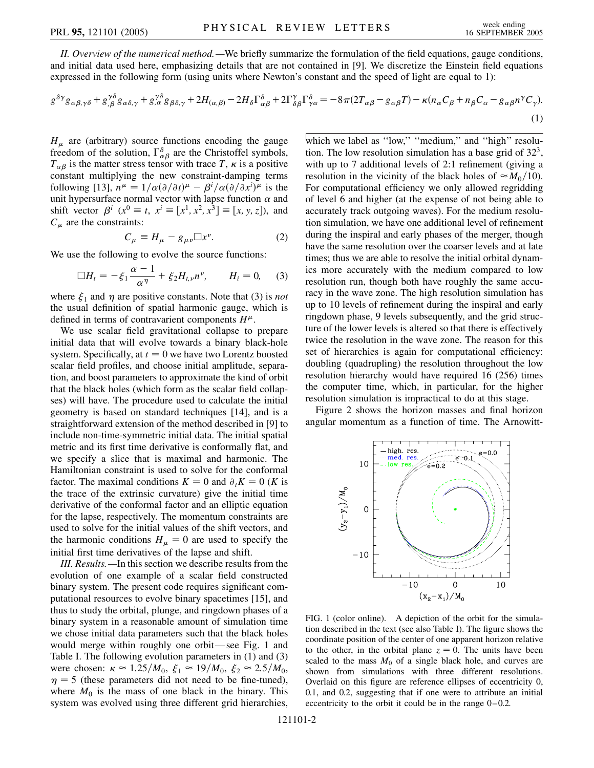*II. Overview of the numerical method.—*We briefly summarize the formulation of the field equations, gauge conditions, and initial data used here, emphasizing details that are not contained in [9]. We discretize the Einstein field equations expressed in the following form (using units where Newton's constant and the speed of light are equal to 1):

$$
g^{\delta\gamma}g_{\alpha\beta,\gamma\delta} + g^{\gamma\delta}_{,\beta}g_{\alpha\delta,\gamma} + g^{\gamma\delta}_{,\alpha}g_{\beta\delta,\gamma} + 2H_{(\alpha,\beta)} - 2H_{\delta}\Gamma^{\delta}_{\alpha\beta} + 2\Gamma^{\gamma}_{\delta\beta}\Gamma^{\delta}_{\gamma\alpha} = -8\pi(2T_{\alpha\beta} - g_{\alpha\beta}T) - \kappa(n_{\alpha}C_{\beta} + n_{\beta}C_{\alpha} - g_{\alpha\beta}n^{\gamma}C_{\gamma}).
$$
\n(1)

 $H<sub>u</sub>$  are (arbitrary) source functions encoding the gauge freedom of the solution,  $\Gamma^{\delta}_{\alpha\beta}$  are the Christoffel symbols,  $T_{\alpha\beta}$  is the matter stress tensor with trace *T*,  $\kappa$  is a positive constant multiplying the new constraint-damping terms following [13],  $n^{\mu} = 1/\alpha(\partial/\partial t)^{\mu} - \beta^{i}/\alpha(\partial/\partial x^{i})^{\mu}$  is the unit hypersurface normal vector with lapse function  $\alpha$  and shift vector  $\beta^{i}$  ( $x^{0} \equiv t$ ,  $x^{i} \equiv [x^{1}, x^{2}, x^{3}] \equiv [x, y, z]$ ), and  $C_{\mu}$  are the constraints:

$$
C_{\mu} \equiv H_{\mu} - g_{\mu\nu} \Box x^{\nu}.
$$
 (2)

We use the following to evolve the source functions:

$$
\Box H_t = -\xi_1 \frac{\alpha - 1}{\alpha^{\eta}} + \xi_2 H_{t, \nu} n^{\nu}, \qquad H_i = 0, \quad (3)
$$

where  $\xi_1$  and  $\eta$  are positive constants. Note that (3) is *not* the usual definition of spatial harmonic gauge, which is defined in terms of contravarient components  $H^{\mu}$ .

We use scalar field gravitational collapse to prepare initial data that will evolve towards a binary black-hole system. Specifically, at  $t = 0$  we have two Lorentz boosted scalar field profiles, and choose initial amplitude, separation, and boost parameters to approximate the kind of orbit that the black holes (which form as the scalar field collapses) will have. The procedure used to calculate the initial geometry is based on standard techniques [14], and is a straightforward extension of the method described in [9] to include non-time-symmetric initial data. The initial spatial metric and its first time derivative is conformally flat, and we specify a slice that is maximal and harmonic. The Hamiltonian constraint is used to solve for the conformal factor. The maximal conditions  $K = 0$  and  $\partial_t K = 0$  (*K* is the trace of the extrinsic curvature) give the initial time derivative of the conformal factor and an elliptic equation for the lapse, respectively. The momentum constraints are used to solve for the initial values of the shift vectors, and the harmonic conditions  $H_{\mu} = 0$  are used to specify the initial first time derivatives of the lapse and shift.

*III. Results.—*In this section we describe results from the evolution of one example of a scalar field constructed binary system. The present code requires significant computational resources to evolve binary spacetimes [15], and thus to study the orbital, plunge, and ringdown phases of a binary system in a reasonable amount of simulation time we chose initial data parameters such that the black holes would merge within roughly one orbit—see Fig. 1 and Table I. The following evolution parameters in (1) and (3) were chosen:  $\kappa \approx 1.25/M_0$ ,  $\xi_1 \approx 19/M_0$ ,  $\xi_2 \approx 2.5/M_0$ ,  $\eta = 5$  (these parameters did not need to be fine-tuned), where  $M_0$  is the mass of one black in the binary. This system was evolved using three different grid hierarchies,

which we label as "low," "medium," and "high" resolution. The low resolution simulation has a base grid of  $32<sup>3</sup>$ , with up to 7 additional levels of 2:1 refinement (giving a resolution in the vicinity of the black holes of  $\approx M_0/10$ . For computational efficiency we only allowed regridding of level 6 and higher (at the expense of not being able to accurately track outgoing waves). For the medium resolution simulation, we have one additional level of refinement during the inspiral and early phases of the merger, though have the same resolution over the coarser levels and at late times; thus we are able to resolve the initial orbital dynamics more accurately with the medium compared to low resolution run, though both have roughly the same accuracy in the wave zone. The high resolution simulation has up to 10 levels of refinement during the inspiral and early ringdown phase, 9 levels subsequently, and the grid structure of the lower levels is altered so that there is effectively twice the resolution in the wave zone. The reason for this set of hierarchies is again for computational efficiency: doubling (quadrupling) the resolution throughout the low resolution hierarchy would have required 16 (256) times the computer time, which, in particular, for the higher resolution simulation is impractical to do at this stage.

Figure 2 shows the horizon masses and final horizon angular momentum as a function of time. The Arnowitt-



FIG. 1 (color online). A depiction of the orbit for the simulation described in the text (see also Table I). The figure shows the coordinate position of the center of one apparent horizon relative to the other, in the orbital plane  $z = 0$ . The units have been scaled to the mass  $M_0$  of a single black hole, and curves are shown from simulations with three different resolutions. Overlaid on this figure are reference ellipses of eccentricity 0, 0.1, and 0.2, suggesting that if one were to attribute an initial eccentricity to the orbit it could be in the range  $0-0.2$ .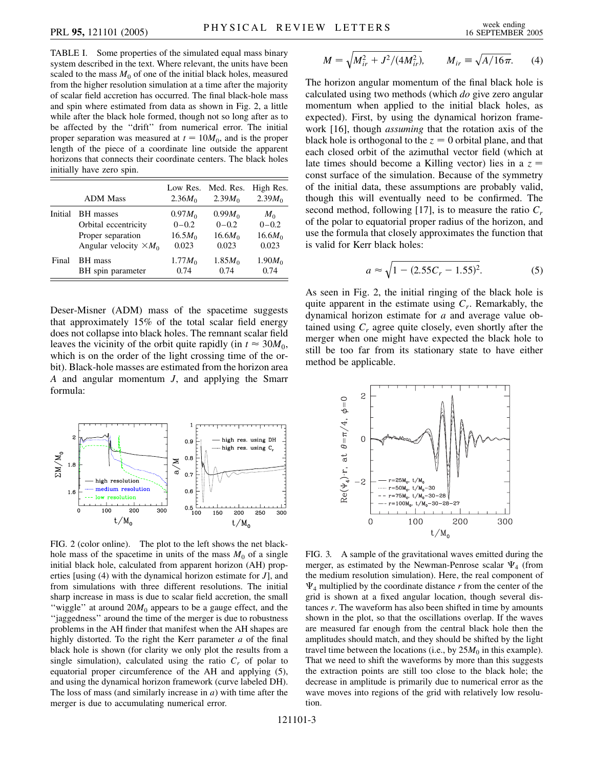TABLE I. Some properties of the simulated equal mass binary system described in the text. Where relevant, the units have been scaled to the mass  $M_0$  of one of the initial black holes, measured from the higher resolution simulation at a time after the majority of scalar field accretion has occurred. The final black-hole mass and spin where estimated from data as shown in Fig. 2, a little while after the black hole formed, though not so long after as to be affected by the ''drift'' from numerical error. The initial proper separation was measured at  $t = 10M_0$ , and is the proper length of the piece of a coordinate line outside the apparent horizons that connects their coordinate centers. The black holes initially have zero spin.

|         | <b>ADM</b> Mass               | Low Res.<br>2.36 $M_0$ | Med. Res.<br>2.39 $M_0$ | High Res.<br>2.39 $M_0$ |
|---------|-------------------------------|------------------------|-------------------------|-------------------------|
| Initial | <b>BH</b> masses              | $0.97M_{\odot}$        | 0.99M <sub>0</sub>      | $M_{0}$                 |
|         | Orbital eccentricity          | $0 - 0.2$              | $0 - 0.2$               | $0 - 0.2$               |
|         | Proper separation             | $16.5M_{\odot}$        | 16.6M <sub>0</sub>      | 16.6M <sub>0</sub>      |
|         | Angular velocity $\times M_0$ | 0.023                  | 0.023                   | 0.023                   |
| Final   | BH mass                       | $1.77M_{\odot}$        | 1.85M <sub>0</sub>      | 1.90M <sub>0</sub>      |
|         | BH spin parameter             | 0.74                   | 0.74                    | 0.74                    |

Deser-Misner (ADM) mass of the spacetime suggests that approximately 15% of the total scalar field energy does not collapse into black holes. The remnant scalar field leaves the vicinity of the orbit quite rapidly (in  $t \approx 30M_0$ , which is on the order of the light crossing time of the orbit). Black-hole masses are estimated from the horizon area *A* and angular momentum *J*, and applying the Smarr formula:



FIG. 2 (color online). The plot to the left shows the net blackhole mass of the spacetime in units of the mass  $M_0$  of a single initial black hole, calculated from apparent horizon (AH) properties [using (4) with the dynamical horizon estimate for *J*], and from simulations with three different resolutions. The initial sharp increase in mass is due to scalar field accretion, the small "wiggle" at around  $20M_0$  appears to be a gauge effect, and the "jaggedness" around the time of the merger is due to robustness problems in the AH finder that manifest when the AH shapes are highly distorted. To the right the Kerr parameter *a* of the final black hole is shown (for clarity we only plot the results from a single simulation), calculated using the ratio  $C_r$  of polar to equatorial proper circumference of the AH and applying (5), and using the dynamical horizon framework (curve labeled DH). The loss of mass (and similarly increase in *a*) with time after the merger is due to accumulating numerical error.

$$
M = \sqrt{M_{ir}^2 + J^2/(4M_{ir}^2)}, \qquad M_{ir} \equiv \sqrt{A/16\pi}. \tag{4}
$$

The horizon angular momentum of the final black hole is calculated using two methods (which *do* give zero angular momentum when applied to the initial black holes, as expected). First, by using the dynamical horizon framework [16], though *assuming* that the rotation axis of the black hole is orthogonal to the  $z = 0$  orbital plane, and that each closed orbit of the azimuthal vector field (which at late times should become a Killing vector) lies in a *z* const surface of the simulation. Because of the symmetry of the initial data, these assumptions are probably valid, though this will eventually need to be confirmed. The second method, following [17], is to measure the ratio  $C_r$ of the polar to equatorial proper radius of the horizon, and use the formula that closely approximates the function that is valid for Kerr black holes:

$$
a \approx \sqrt{1 - (2.55C_r - 1.55)^2}.
$$
 (5)

As seen in Fig. 2, the initial ringing of the black hole is quite apparent in the estimate using *Cr*. Remarkably, the dynamical horizon estimate for *a* and average value obtained using  $C_r$  agree quite closely, even shortly after the merger when one might have expected the black hole to still be too far from its stationary state to have either method be applicable.



FIG. 3. A sample of the gravitational waves emitted during the merger, as estimated by the Newman-Penrose scalar  $\Psi_4$  (from the medium resolution simulation). Here, the real component of  $\Psi_4$  multiplied by the coordinate distance  $r$  from the center of the grid is shown at a fixed angular location, though several distances *r*. The waveform has also been shifted in time by amounts shown in the plot, so that the oscillations overlap. If the waves are measured far enough from the central black hole then the amplitudes should match, and they should be shifted by the light travel time between the locations (i.e., by  $25M_0$  in this example). That we need to shift the waveforms by more than this suggests the extraction points are still too close to the black hole; the decrease in amplitude is primarily due to numerical error as the wave moves into regions of the grid with relatively low resolution.